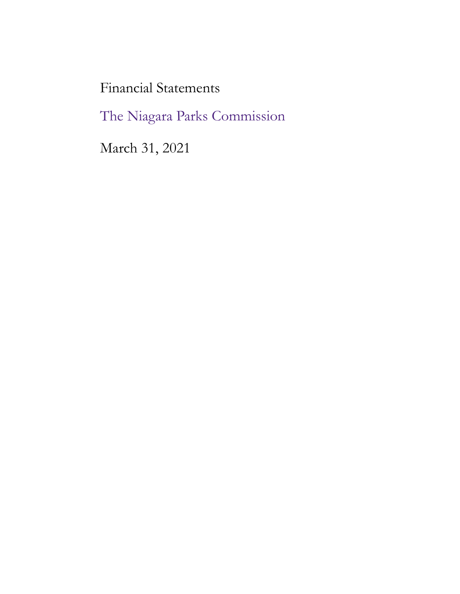**Financial Statements** 

**The Niagara Parks Commission** 

**March 31, 2021**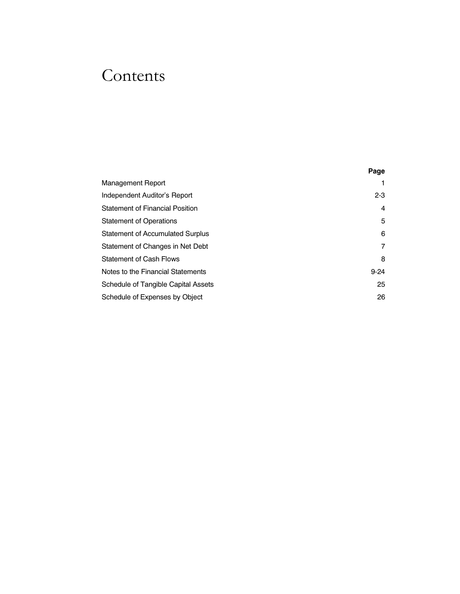# **Contents**

|                                         | Page     |
|-----------------------------------------|----------|
| <b>Management Report</b>                |          |
| Independent Auditor's Report            | $2 - 3$  |
| <b>Statement of Financial Position</b>  | 4        |
| <b>Statement of Operations</b>          | 5        |
| <b>Statement of Accumulated Surplus</b> | 6        |
| Statement of Changes in Net Debt        | 7        |
| <b>Statement of Cash Flows</b>          | 8        |
| Notes to the Financial Statements       | $9 - 24$ |
| Schedule of Tangible Capital Assets     | 25       |
| Schedule of Expenses by Object          | 26       |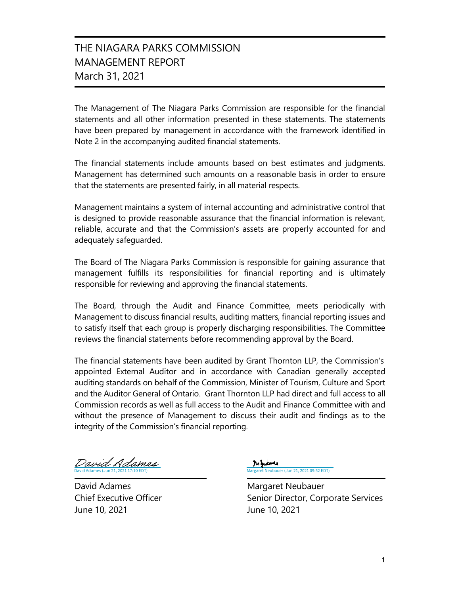<span id="page-2-0"></span>**The Management of The Niagara Parks Commission are responsible for the financial statements and all other information presented in these statements. The statements have been prepared by management in accordance with the framework identified in Note 2 in the accompanying audited financial statements.** 

 **The financial statements include amounts based on best estimates and judgments. Management has determined such amounts on a reasonable basis in order to ensure that the statements are presented fairly, in all material respects.** 

**Management maintains a system of internal accounting and administrative control that is designed to provide reasonable assurance that the financial information is relevant, reliable, accurate and that the Commission's assets are properly accounted for and adequately safeguarded.** 

**The Board of The Niagara Parks Commission is responsible for gaining assurance that management fulfills its responsibilities for financial reporting and is ultimately responsible for reviewing and approving the financial statements.** 

 **reviews the financial statements before recommending approval by the Board. The Board, through the Audit and Finance Committee, meets periodically with Management to discuss financial results, auditing matters, financial reporting issues and to satisfy itself that each group is properly discharging responsibilities. The Committee**

**The financial statements have been audited by Grant Thornton LLP, the Commission's appointed External Auditor and in accordance with Canadian generally accepted auditing standards on behalf of the Commission, Minister of Tourism, Culture and Sport and the Auditor General of Ontario. Grant Thornton LLP had direct and full access to all Commission records as well as full access to the Audit and Finance Committee with and without the presence of Management to discuss their audit and findings as to the integrity of the Commission's financial reporting.**

**David Adames David Adames (Jun 21, 2021 17:10 EDT)** 

**David Adames Chief Executive Officer June 10, 2021** 

manbora **Margaret Neubauer (Jun 21, 2021 09:52 EDT)** 

**Margaret Neubauer Senior Director, Corporate Services June 10, 2021**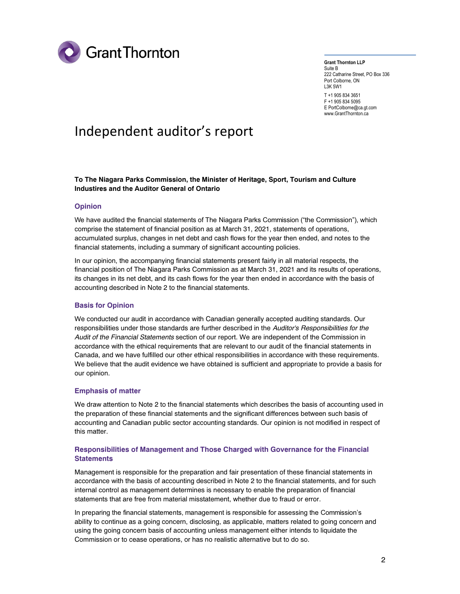<span id="page-3-0"></span>

**Grant Thornton LLP Suite B 222 Catharine Street, PO Box 336 Port Colborne, ON L3K 5W1 T +1 905 834 3651** 

**F +1 905 834 5095 [E PortColborne@ca.gt.com](mailto:E PortColborne@ca.gt.com) [www.GrantThornton.ca](http://www.GrantThornton.ca)** 

# **Independent auditor's report**

#### **To The Niagara Parks Commission, the Minister of Heritage, Sport, Tourism and Culture Industires and the Auditor General of Ontario**

#### **Opinion**

**We have audited the financial statements of The Niagara Parks Commission ("the Commission"), which comprise the statement of financial position as at March 31, 2021, statements of operations, accumulated surplus, changes in net debt and cash flows for the year then ended, and notes to the financial statements, including a summary of significant accounting policies. In our opinion, the accompanying financial statements present fairly in all material respects, the**

 **accounting described in Note 2 to the financial statements. financial position of The Niagara Parks Commission as at March 31, 2021 and its results of operations, its changes in its net debt, and its cash flows for the year then ended in accordance with the basis of**

#### **Basis for Opinion**

 **our opinion. We conducted our audit in accordance with Canadian generally accepted auditing standards. Our responsibilities under those standards are further described in the** *Auditor's Responsibilities for the Audit of the Financial Statements* **section of our report. We are independent of the Commission in accordance with the ethical requirements that are relevant to our audit of the financial statements in Canada, and we have fulfilled our other ethical responsibilities in accordance with these requirements. We believe that the audit evidence we have obtained is sufficient and appropriate to provide a basis for**

#### **Emphasis of matter**

**We draw attention to Note 2 to the financial statements which describes the basis of accounting used in the preparation of these financial statements and the significant differences between such basis of accounting and Canadian public sector accounting standards. Our opinion is not modified in respect of this matter.** 

#### **Responsibilities of Management and Those Charged with Governance for the Financial Statements**

 **statements that are free from material misstatement, whether due to fraud or error. Management is responsible for the preparation and fair presentation of these financial statements in accordance with the basis of accounting described in Note 2 to the financial statements, and for such internal control as management determines is necessary to enable the preparation of financial**

 **Commission or to cease operations, or has no realistic alternative but to do so. In preparing the financial statements, management is responsible for assessing the Commission's ability to continue as a going concern, disclosing, as applicable, matters related to going concern and using the going concern basis of accounting unless management either intends to liquidate the**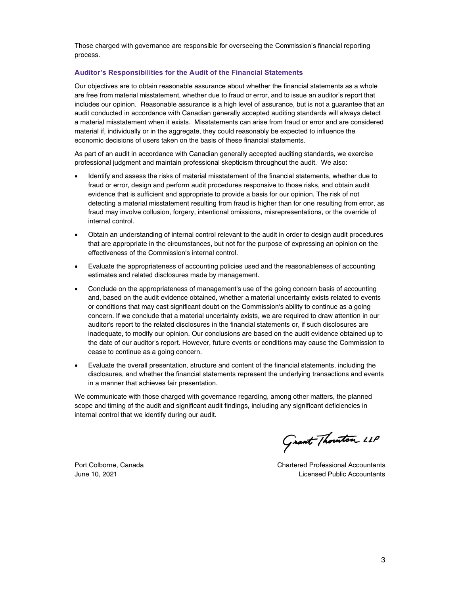**Those charged with governance are responsible for overseeing the Commission's financial reporting process.** 

#### **Auditor's Responsibilities for the Audit of the Financial Statements**

economic decisions of users taken on the basis of these financial statements. **Our objectives are to obtain reasonable assurance about whether the financial statements as a whole are free from material misstatement, whether due to fraud or error, and to issue an auditor's report that includes our opinion. Reasonable assurance is a high level of assurance, but is not a guarantee that an audit conducted in accordance with Canadian generally accepted auditing standards will always detect a material misstatement when it exists. Misstatements can arise from fraud or error and are considered material if, individually or in the aggregate, they could reasonably be expected to influence the**

 **professional judgment and maintain professional skepticism throughout the audit. We also:**  As part of an audit in accordance with Canadian generally accepted auditing standards, we exercise

- **internal control. • Identify and assess the risks of material misstatement of the financial statements, whether due to fraud or error, design and perform audit procedures responsive to those risks, and obtain audit evidence that is sufficient and appropriate to provide a basis for our opinion. The risk of not detecting a material misstatement resulting from fraud is higher than for one resulting from error, as fraud may involve collusion, forgery, intentional omissions, misrepresentations, or the override of**
- **effectiveness of the Commission's internal control. • Obtain an understanding of internal control relevant to the audit in order to design audit procedures that are appropriate in the circumstances, but not for the purpose of expressing an opinion on the**
- **estimates and related disclosures made by management. • Evaluate the appropriateness of accounting policies used and the reasonableness of accounting**
- **• Conclude on the appropriateness of management's use of the going concern basis of accounting and, based on the audit evidence obtained, whether a material uncertainty exists related to events or conditions that may cast significant doubt on the Commission's ability to continue as a going concern. If we conclude that a material uncertainty exists, we are required to draw attention in our auditor's report to the related disclosures in the financial statements or, if such disclosures are inadequate, to modify our opinion. Our conclusions are based on the audit evidence obtained up to the date of our auditor's report. However, future events or conditions may cause the Commission to cease to continue as a going concern.**
- in a manner that achieves fair presentation. **• Evaluate the overall presentation, structure and content of the financial statements, including the disclosures, and whether the financial statements represent the underlying transactions and events**

We communicate with those charged with governance regarding, among other matters, the planned  **scope and timing of the audit and significant audit findings, including any significant deficiencies in internal control that we identify during our audit.** 

Grant Thouston LLP

**Port Colborne, Canada June 10, 2021** 

**Chartered Professional Accountants Licensed Public Accountants**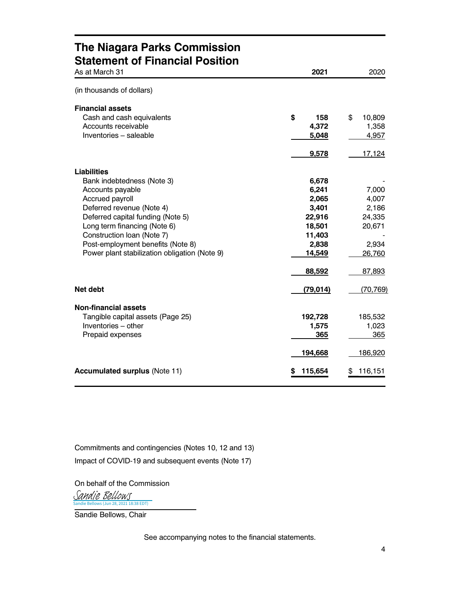### <span id="page-5-0"></span>**The Niagara Parks Commission Statement of Financial Position**

| olalchicht of Financial Fosition<br>As at March 31 | 2021         | 2020          |
|----------------------------------------------------|--------------|---------------|
| (in thousands of dollars)                          |              |               |
| <b>Financial assets</b>                            |              |               |
| Cash and cash equivalents                          | \$<br>158    | \$<br>10,809  |
| Accounts receivable                                | 4,372        | 1,358         |
| Inventories - saleable                             | 5,048        | 4,957         |
|                                                    | <u>9,578</u> | <u>17,124</u> |
| <b>Liabilities</b>                                 |              |               |
| Bank indebtedness (Note 3)                         | 6,678        |               |
| Accounts payable                                   | 6,241        | 7,000         |
| Accrued payroll                                    | 2,065        | 4,007         |
| Deferred revenue (Note 4)                          | 3,401        | 2,186         |
| Deferred capital funding (Note 5)                  | 22,916       | 24,335        |
| Long term financing (Note 6)                       | 18,501       | 20,671        |
| Construction Ioan (Note 7)                         | 11,403       |               |
| Post-employment benefits (Note 8)                  | 2,838        | 2,934         |
| Power plant stabilization obligation (Note 9)      | 14,549       | 26,760        |
|                                                    | 88,592       | 87,893        |
| Net debt                                           | (79, 014)    | (70, 769)     |
| <b>Non-financial assets</b>                        |              |               |
| Tangible capital assets (Page 25)                  | 192,728      | 185,532       |
| Inventories - other                                | 1,575        | 1,023         |
| Prepaid expenses                                   | 365          | 365           |
|                                                    | 194,668      | 186,920       |
| <b>Accumulated surplus (Note 11)</b>               | 115,654      | 116,151       |
|                                                    |              |               |

**Commitments and contingencies (Notes 10, 12 and 13) Impact of COVID-19 and subsequent events (Note 17)** 

 **On behalf of the Commission Sandie Bellows Sandie Bellows (Jun 28, 2021 18:38 EDT )**

**Sandie Bellows, Chair**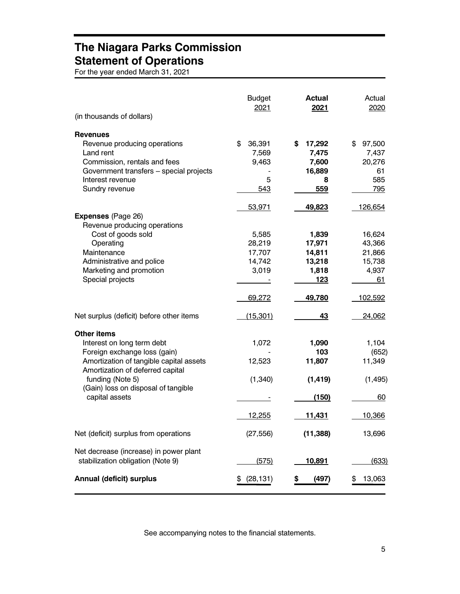### <span id="page-6-0"></span>**The Niagara Parks Commission Statement of Operations**

**For the year ended March 31, 2021** 

| (in thousands of dollars)                                                                                                                                                                                                                    | <b>Budget</b><br>2021                                            | <b>Actual</b><br>2021                                                          | Actual<br>2020                                                                   |
|----------------------------------------------------------------------------------------------------------------------------------------------------------------------------------------------------------------------------------------------|------------------------------------------------------------------|--------------------------------------------------------------------------------|----------------------------------------------------------------------------------|
| <b>Revenues</b><br>Revenue producing operations<br>Land rent<br>Commission, rentals and fees<br>Government transfers - special projects<br>Interest revenue<br>Sundry revenue                                                                | 36,391<br>\$<br>7,569<br>9,463<br>5<br>543                       | 17,292<br>S<br>7,475<br>7,600<br>16,889<br>8<br>559                            | 97,500<br>\$<br>7,437<br>20,276<br>61<br>585<br>795                              |
| <b>Expenses</b> (Page 26)<br>Revenue producing operations<br>Cost of goods sold<br>Operating<br>Maintenance<br>Administrative and police<br>Marketing and promotion<br>Special projects                                                      | 53,971<br>5,585<br>28,219<br>17,707<br>14,742<br>3,019<br>69,272 | <u>49,823</u><br>1,839<br>17,971<br>14,811<br>13,218<br>1,818<br>123<br>49,780 | <u>126,654</u><br>16,624<br>43,366<br>21,866<br>15,738<br>4,937<br>61<br>102,592 |
| Net surplus (deficit) before other items                                                                                                                                                                                                     | (15, 301)                                                        | 43                                                                             | 24,062                                                                           |
| <b>Other items</b><br>Interest on long term debt<br>Foreign exchange loss (gain)<br>Amortization of tangible capital assets<br>Amortization of deferred capital<br>funding (Note 5)<br>(Gain) loss on disposal of tangible<br>capital assets | 1,072<br>12,523<br>(1, 340)<br>12,255                            | 1,090<br>103<br>11,807<br>(1, 419)<br>(150)<br>11,431                          | 1,104<br>(652)<br>11,349<br>(1, 495)<br>60<br>10,366                             |
| Net (deficit) surplus from operations                                                                                                                                                                                                        | (27, 556)                                                        | (11, 388)                                                                      | 13,696                                                                           |
| Net decrease (increase) in power plant<br>stabilization obligation (Note 9)                                                                                                                                                                  | (575)                                                            | 10,891                                                                         | (633)                                                                            |
| Annual (deficit) surplus                                                                                                                                                                                                                     | (28, 131)<br>\$                                                  | (497)<br>\$                                                                    | 13,063<br>\$                                                                     |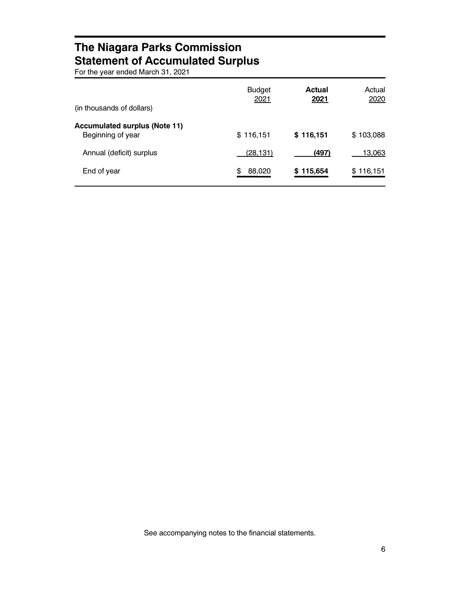### <span id="page-7-0"></span>**The Niagara Parks Commission Statement of Accumulated Surplus**

**For the year ended March 31, 2021** 

| (in thousands of dollars)                                 | <b>Budget</b><br>2021 | <b>Actual</b><br>2021 | Actual<br>2020 |
|-----------------------------------------------------------|-----------------------|-----------------------|----------------|
| <b>Accumulated surplus (Note 11)</b><br>Beginning of year | \$116,151             | \$116,151             | \$103,088      |
| Annual (deficit) surplus                                  | (28,131)              | (497)                 | 13,063         |
| End of year                                               | 88,020<br>\$          | \$115,654             | \$116,151      |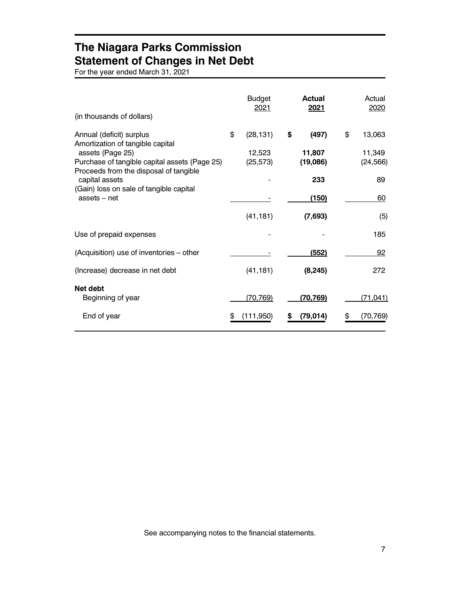### <span id="page-8-0"></span>**The Niagara Parks Commission Statement of Changes in Net Debt**

**For the year ended March 31, 2021** 

| <b>Budget</b><br>2021                  | Actual<br>2021                    |     | Actual<br>2020                |
|----------------------------------------|-----------------------------------|-----|-------------------------------|
| \$<br>(28, 131)<br>12,523<br>(25, 573) | \$<br>(497)<br>11,807<br>(19,086) | \$  | 13,063<br>11,349<br>(24, 566) |
| (41, 181)                              | <u>(150)</u><br>(7,693)           |     | 89<br>60<br>(5)               |
|                                        |                                   |     | 185                           |
|                                        | (552)                             |     | 92                            |
| (41, 181)                              | (8, 245)                          |     | 272                           |
| (70, 769)<br>(111, 950)                | (70,769)<br>(79, 014)             |     | (71, 041)<br>(70,769)         |
|                                        |                                   | 233 |                               |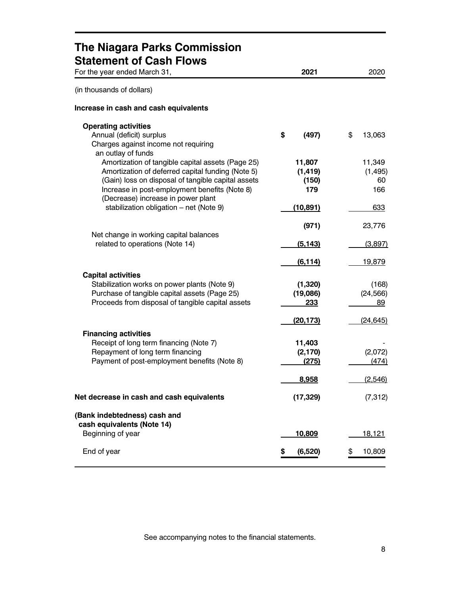<span id="page-9-0"></span>

| <b>The Niagara Parks Commission</b><br><b>Statement of Cash Flows</b><br>For the year ended March 31,                                                                                                                                                                                          | 2021                                            | 2020                                   |
|------------------------------------------------------------------------------------------------------------------------------------------------------------------------------------------------------------------------------------------------------------------------------------------------|-------------------------------------------------|----------------------------------------|
| (in thousands of dollars)                                                                                                                                                                                                                                                                      |                                                 |                                        |
| Increase in cash and cash equivalents                                                                                                                                                                                                                                                          |                                                 |                                        |
| <b>Operating activities</b><br>Annual (deficit) surplus<br>Charges against income not requiring<br>an outlay of funds                                                                                                                                                                          | \$<br>(497)                                     | \$<br>13,063                           |
| Amortization of tangible capital assets (Page 25)<br>Amortization of deferred capital funding (Note 5)<br>(Gain) loss on disposal of tangible capital assets<br>Increase in post-employment benefits (Note 8)<br>(Decrease) increase in power plant<br>stabilization obligation - net (Note 9) | 11,807<br>(1, 419)<br>(150)<br>179<br>(10, 891) | 11,349<br>(1, 495)<br>60<br>166<br>633 |
|                                                                                                                                                                                                                                                                                                | (971)                                           | 23,776                                 |
| Net change in working capital balances<br>related to operations (Note 14)                                                                                                                                                                                                                      | (5, 143)                                        | (3,897)                                |
| <b>Capital activities</b><br>Stabilization works on power plants (Note 9)<br>Purchase of tangible capital assets (Page 25)<br>Proceeds from disposal of tangible capital assets                                                                                                                | (6, 114)<br>(1, 320)<br>(19,086)<br>233         | 19,879<br>(168)<br>(24, 566)<br>89     |
| <b>Financing activities</b><br>Receipt of long term financing (Note 7)<br>Repayment of long term financing<br>Payment of post-employment benefits (Note 8)                                                                                                                                     | (20, 173)<br>11,403<br>(2, 170)<br>(275)        | (24, 645)<br>(2,072)<br>(474)          |
|                                                                                                                                                                                                                                                                                                | 8,958                                           | (2,546)                                |
| Net decrease in cash and cash equivalents                                                                                                                                                                                                                                                      | (17, 329)                                       | (7, 312)                               |
| (Bank indebtedness) cash and<br>cash equivalents (Note 14)<br>Beginning of year                                                                                                                                                                                                                | 10,809                                          | <u> 18,121</u>                         |
| End of year                                                                                                                                                                                                                                                                                    | (6, 520)<br>\$                                  | 10,809<br>\$                           |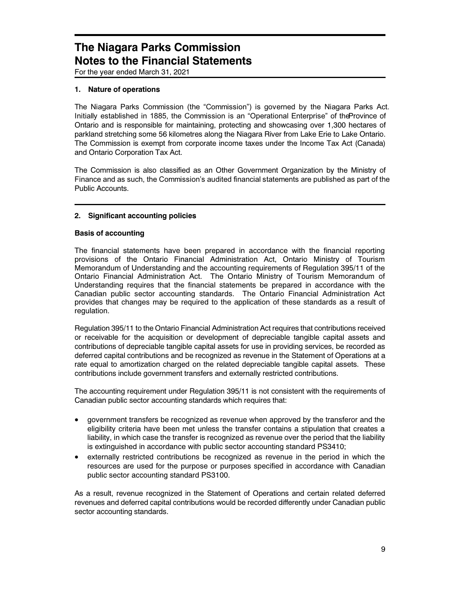<span id="page-10-0"></span>**For the year ended March 31, 2021** 

### **1. Nature of operations**

 **The Niagara Parks Commission (the "Commission") is governed by the Niagara Parks Act. Initially established in 1885, the Commission is an "Operational Enterprise" of the Province of Ontario and is responsible for maintaining, protecting and showcasing over 1,300 hectares of parkland stretching some 56 kilometres along the Niagara River from Lake Erie to Lake Ontario. The Commission is exempt from corporate income taxes under the Income Tax Act (Canada) and Ontario Corporation Tax Act.** 

**The Commission is also classified as an Other Government Organization by the Ministry of Finance and as such, the Commission's audited financial statements are published as part of the Public Accounts.** 

### **2. Significant accounting policies**

### **Basis of accounting**

**The financial statements have been prepared in accordance with the financial reporting provisions of the Ontario Financial Administration Act, Ontario Ministry of Tourism Memorandum of Understanding and the accounting requirements of Regulation 395/11 of the Ontario Financial Administration Act. The Ontario Ministry of Tourism Memorandum of Understanding requires that the financial statements be prepared in accordance with the Canadian public sector accounting standards. The Ontario Financial Administration Act provides that changes may be required to the application of these standards as a result of regulation.** 

contributions include government transfers and externally restricted contributions. **Regulation 395/11 to the Ontario Financial Administration Act requires that contributions received or receivable for the acquisition or development of depreciable tangible capital assets and contributions of depreciable tangible capital assets for use in providing services, be recorded as deferred capital contributions and be recognized as revenue in the Statement of Operations at a rate equal to amortization charged on the related depreciable tangible capital assets. These**

The accounting requirement under Regulation 395/11 is not consistent with the requirements of  **Canadian public sector accounting standards which requires that:** 

- **• government transfers be recognized as revenue when approved by the transferor and the eligibility criteria have been met unless the transfer contains a stipulation that creates a liability, in which case the transfer is recognized as revenue over the period that the liability is extinguished in accordance with public sector accounting standard PS3410;**
- **resources are used for the purpose or purposes specified in accordance with Canadian • externally restricted contributions be recognized as revenue in the period in which the public sector accounting standard PS3100.**

 **revenues and deferred capital contributions would be recorded differently under Canadian public sector accounting standards. As a result, revenue recognized in the Statement of Operations and certain related deferred**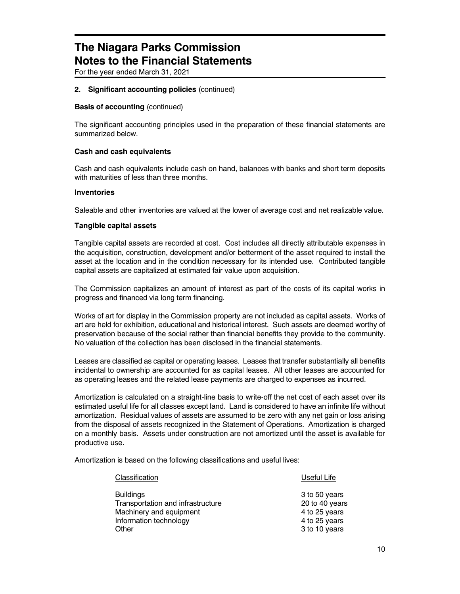**For the year ended March 31, 2021** 

### **2. Significant accounting policies (continued)**

### **Basis of accounting (continued)**

**The significant accounting principles used in the preparation of these financial statements are summarized below.** 

### **Cash and cash equivalents**

**Cash and cash equivalents include cash on hand, balances with banks and short term deposits with maturities of less than three months.** 

### **Inventories**

**Saleable and other inventories are valued at the lower of average cost and net realizable value.** 

### **Tangible capital assets**

**Tangible capital assets are recorded at cost. Cost includes all directly attributable expenses in the acquisition, construction, development and/or betterment of the asset required to install the asset at the location and in the condition necessary for its intended use. Contributed tangible capital assets are capitalized at estimated fair value upon acquisition.** 

**The Commission capitalizes an amount of interest as part of the costs of its capital works in progress and financed via long term financing.** 

 **preservation because of the social rather than financial benefits they provide to the community. Works of art for display in the Commission property are not included as capital assets. Works of art are held for exhibition, educational and historical interest. Such assets are deemed worthy of No valuation of the collection has been disclosed in the financial statements.** 

**Leases are classified as capital or operating leases. Leases that transfer substantially all benefits incidental to ownership are accounted for as capital leases. All other leases are accounted for as operating leases and the related lease payments are charged to expenses as incurred.** 

**Amortization is calculated on a straight-line basis to write-off the net cost of each asset over its estimated useful life for all classes except land. Land is considered to have an infinite life without amortization. Residual values of assets are assumed to be zero with any net gain or loss arising from the disposal of assets recognized in the Statement of Operations. Amortization is charged on a monthly basis. Assets under construction are not amortized until the asset is available for productive use.** 

**Amortization is based on the following classifications and useful lives:** 

| Classification                    | Useful Life    |
|-----------------------------------|----------------|
| <b>Buildings</b>                  | 3 to 50 years  |
| Transportation and infrastructure | 20 to 40 years |
| Machinery and equipment           | 4 to 25 years  |
| Information technology            | 4 to 25 years  |
| Other                             | 3 to 10 years  |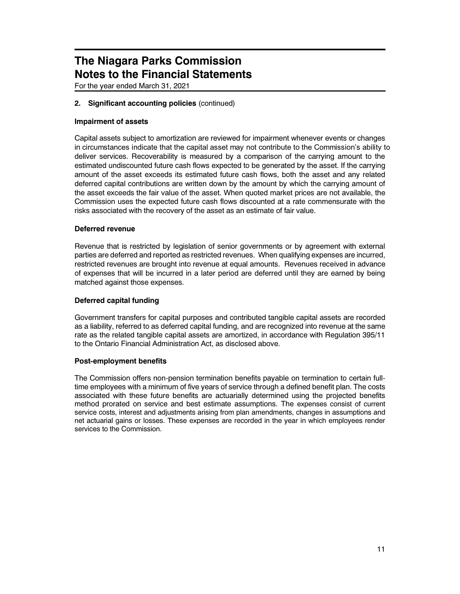**For the year ended March 31, 2021** 

### **2. Significant accounting policies (continued)**

### **Impairment of assets**

**Capital assets subject to amortization are reviewed for impairment whenever events or changes in circumstances indicate that the capital asset may not contribute to the Commission's ability to deliver services. Recoverability is measured by a comparison of the carrying amount to the estimated undiscounted future cash flows expected to be generated by the asset. If the carrying amount of the asset exceeds its estimated future cash flows, both the asset and any related deferred capital contributions are written down by the amount by which the carrying amount of the asset exceeds the fair value of the asset. When quoted market prices are not available, the Commission uses the expected future cash flows discounted at a rate commensurate with the risks associated with the recovery of the asset as an estimate of fair value.** 

### **Deferred revenue**

**Revenue that is restricted by legislation of senior governments or by agreement with external parties are deferred and reported as restricted revenues. When qualifying expenses are incurred, restricted revenues are brought into revenue at equal amounts. Revenues received in advance of expenses that will be incurred in a later period are deferred until they are earned by being matched against those expenses.** 

### **Deferred capital funding**

**Government transfers for capital purposes and contributed tangible capital assets are recorded as a liability, referred to as deferred capital funding, and are recognized into revenue at the same rate as the related tangible capital assets are amortized, in accordance with Regulation 395/11 to the Ontario Financial Administration Act, as disclosed above.** 

### **Post-employment benefits**

 **method prorated on service and best estimate assumptions. The expenses consist of current services to the Commission. The Commission offers non-pension termination benefits payable on termination to certain fulltime employees with a minimum of five years of service through a defined benefit plan. The costs associated with these future benefits are actuarially determined using the projected benefits service costs, interest and adjustments arising from plan amendments, changes in assumptions and net actuarial gains or losses. These expenses are recorded in the year in which employees render**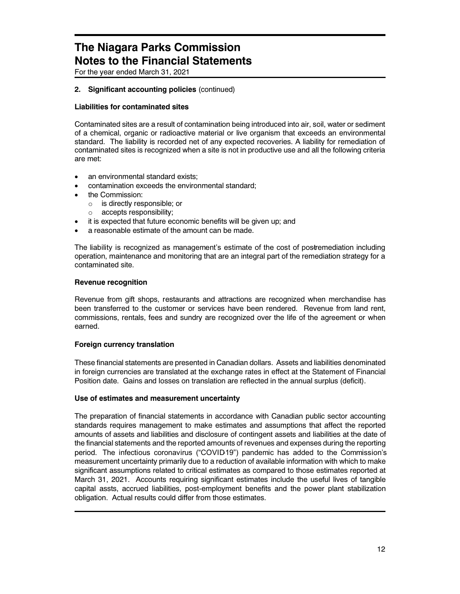**For the year ended March 31, 2021** 

### **2. Significant accounting policies (continued)**

### **Liabilities for contaminated sites**

**Contaminated sites are a result of contamination being introduced into air, soil, water or sediment of a chemical, organic or radioactive material or live organism that exceeds an environmental standard. The liability is recorded net of any expected recoveries. A liability for remediation of contaminated sites is recognized when a site is not in productive use and all the following criteria are met:** 

- **• an environmental standard exists;**
- **• contamination exceeds the environmental standard;**
- **• the Commission:** 
	- **o is directly responsible; or**
	- **o accepts responsibility;**
- **• it is expected that future economic benefits will be given up; and**
- **• a reasonable estimate of the amount can be made.**

The liability is recognized as management's estimate of the cost of postremediation including  **operation, maintenance and monitoring that are an integral part of the remediation strategy for a contaminated site.** 

### **Revenue recognition**

**Revenue from gift shops, restaurants and attractions are recognized when merchandise has been transferred to the customer or services have been rendered. Revenue from land rent, commissions, rentals, fees and sundry are recognized over the life of the agreement or when earned.** 

### **Foreign currency translation**

**These financial statements are presented in Canadian dollars. Assets and liabilities denominated in foreign currencies are translated at the exchange rates in effect at the Statement of Financial Position date. Gains and losses on translation are reflected in the annual surplus (deficit).** 

### **Use of estimates and measurement uncertainty**

 **March 31, 2021. Accounts requiring significant estimates include the useful lives of tangible obligation. Actual results could differ from those estimates. The preparation of financial statements in accordance with Canadian public sector accounting standards requires management to make estimates and assumptions that affect the reported amounts of assets and liabilities and disclosure of contingent assets and liabilities at the date of the financial statements and the reported amounts of revenues and expenses during the reporting period. The infectious coronavirus ("COVID-19") pandemic has added to the Commission's measurement uncertainty primarily due to a reduction of available information with which to make significant assumptions related to critical estimates as compared to those estimates reported at capital assts, accrued liabilities, post-employment benefits and the power plant stabilization**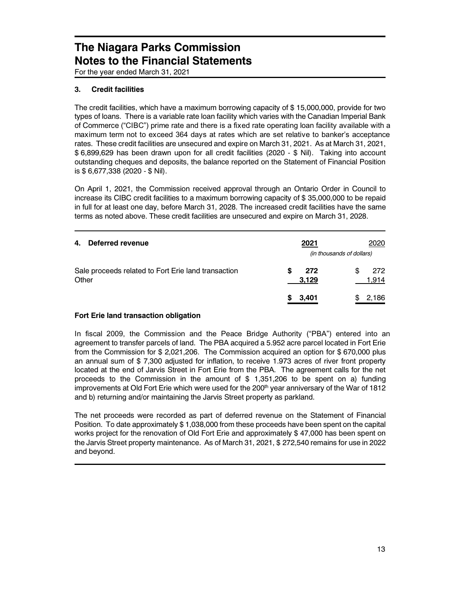For the year ended March 31, 2021

### **3. Credit facilities**

**The credit facilities, which have a maximum borrowing capacity of \$ 15,000,000, provide for two t ypes of loans. There is a variable rate loan facility which varies with the Canadian Imperial Bank o f Commerce ( "CIBC") prime rate and there is a fixed rate operating loan facility available with a**  maximum term not to exceed 364 days at rates which are set relative to banker's acceptance rates. These credit facilities are unsecured and expire on March 31, 2021. As at March 31, 2021, **\$ 6,899,629 has been drawn upon for all credit facilities (2020 - \$ Nil). Taking into account o utstanding cheques and deposits, the balance reported on the Statement of Financial Position i s \$ 6,677,338 (2020 - \$ Nil).** 

terms as noted above. These credit facilities are unsecured and expire on March 31, 2028. On April 1, 2021, the Commission received approval through an Ontario Order in Council to increase its CIBC credit facilities to a maximum borrowing capacity of \$35,000,000 to be repaid in full for at least one day, before March 31, 2028. The increased credit facilities have the same

| Deferred revenue<br>4.                                       | 2021         | 2020<br>(in thousands of dollars) |
|--------------------------------------------------------------|--------------|-----------------------------------|
| Sale proceeds related to Fort Erie land transaction<br>Other | 272<br>3,129 | 272<br>S<br>1,914                 |
|                                                              | 3,401        | 2,186                             |

### **Fort Erie land transaction obligation**

In fiscal 2009, the Commission and the Peace Bridge Authority ("PBA") entered into an **a greement to transfer parcels of land. The PBA acquired a 5.952 acre parcel located in Fort Erie f rom the Commission for \$ 2,021,206. The Commission acquired an option for \$ 670,000 plus**  an annual sum of \$7,300 adjusted for inflation, to receive 1.973 acres of river front property located at the end of Jarvis Street in Fort Erie from the PBA. The agreement calls for the net **proceeds to the Commission in the amount of \$ 1,351,206 to be spent on a) funding**  improvements at Old Fort Erie which were used for the 200<sup>th</sup> year anniversary of the War of 1812 **and b) returning and/or maintaining the Jarvis Street property as parkland.** 

**The net proceeds were recorded as part of deferred revenue on the Statement of Financial P osition. To date approximately \$ 1,038,000 from these proceeds have been spent on the capital w orks project for the renovation of Old Fort Erie and approximately \$ 47,000 has been spent on t he Jarvis Street property maintenance. As of March 31, 2021, \$ 272,540 remains for use in 2022 a nd beyond.**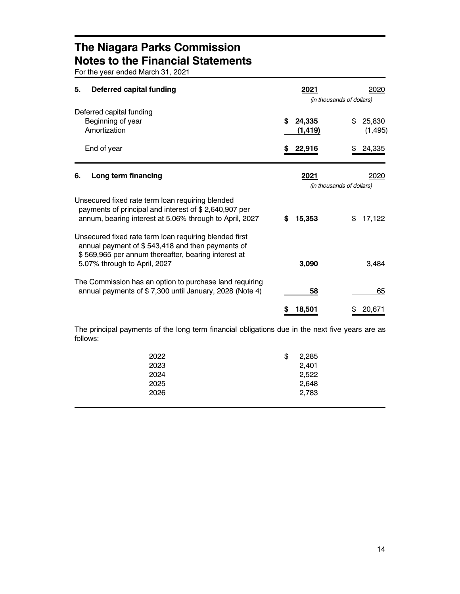**For the year ended March 31, 2021** 

| <b>Deferred capital funding</b><br>5.                                                                                                                                                             | 2021<br>(in thousands of dollars)          | 2020                               |
|---------------------------------------------------------------------------------------------------------------------------------------------------------------------------------------------------|--------------------------------------------|------------------------------------|
| Deferred capital funding<br>Beginning of year<br>Amortization<br>End of year                                                                                                                      | 24,335<br>\$<br>(1, 419)<br>22,916<br>S    | 25,830<br>\$<br>(1, 495)<br>24,335 |
| Long term financing<br>6.                                                                                                                                                                         | <u> 2021 </u><br>(in thousands of dollars) | 2020                               |
| Unsecured fixed rate term loan requiring blended<br>payments of principal and interest of \$2,640,907 per<br>annum, bearing interest at 5.06% through to April, 2027                              | \$<br>15,353                               | \$<br>17,122                       |
| Unsecured fixed rate term loan requiring blended first<br>annual payment of \$543,418 and then payments of<br>\$569,965 per annum thereafter, bearing interest at<br>5.07% through to April, 2027 | 3,090                                      | 3,484                              |
| The Commission has an option to purchase land requiring<br>annual payments of \$7,300 until January, 2028 (Note 4)                                                                                | 58                                         | 65                                 |
|                                                                                                                                                                                                   | 18,501                                     | 20,671                             |

**The principal payments of the long term financial obligations due in the next five years are as follows:** 

| 2022<br>2023<br>2024<br>2025<br>2026 | \$<br>2,285<br>2,401<br>2,522<br>2,648<br>2,783 |
|--------------------------------------|-------------------------------------------------|
|                                      |                                                 |
|                                      |                                                 |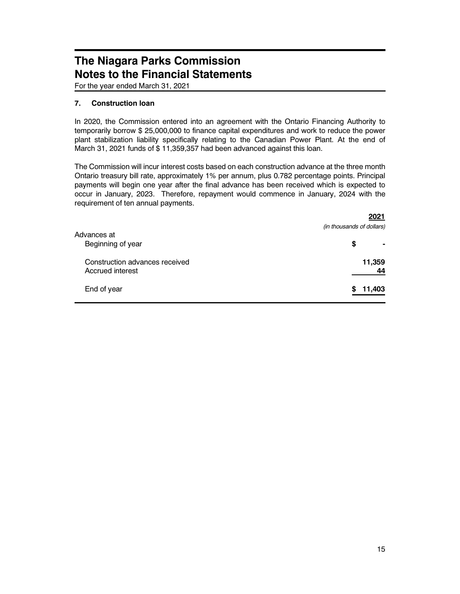**For the year ended March 31, 2021** 

### **7. Construction loan**

 **March 31, 2021 funds of \$ 11,359,357 had been advanced against this loan. In 2020, the Commission entered into an agreement with the Ontario Financing Authority to temporarily borrow \$ 25,000,000 to finance capital expenditures and work to reduce the power plant stabilization liability specifically relating to the Canadian Power Plant. At the end of** 

 **requirement of ten annual payments. The Commission will incur interest costs based on each construction advance at the three month Ontario treasury bill rate, approximately 1% per annum, plus 0.782 percentage points. Principal payments will begin one year after the final advance has been received which is expected to occur in January, 2023. Therefore, repayment would commence in January, 2024 with the** 

|                                                    | 2021                      |
|----------------------------------------------------|---------------------------|
|                                                    | (in thousands of dollars) |
| Advances at                                        |                           |
| Beginning of year                                  | \$                        |
| Construction advances received<br>Accrued interest | 11,359<br>44              |
| End of year                                        | 11,403<br>\$              |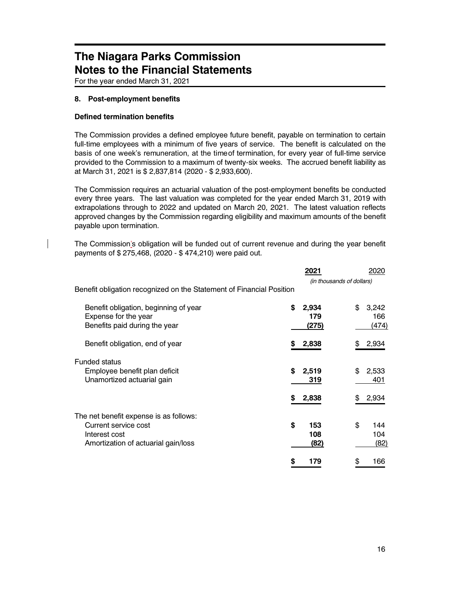**For the year ended March 31, 2021** 

### **8. Post-employment benefits**

### **Defined termination benefits**

**The Commission provides a defined employee future benefit, payable on termination to certain**  full-time employees with a minimum of five years of service. The benefit is calculated on the basis of one week's remuneration, at the time of termination, for every year of full-time service **p rovided to the Commission to a maximum of twenty-six weeks. The accrued benefit liability as a t March 31, 2021 is \$ 2,837,814 (2020 - \$ 2,933,600).** 

The Commission requires an actuarial valuation of the post-employment benefits be conducted **every three years. The last valuation was completed for the year ended March 31, 2019 with extrapolations through to 2022 and updated on March 20, 2021. The latest valuation reflects approved changes by the Commission regarding eligibility and maximum amounts of the benefit payable upon termination.** 

**The Commission's obligation will be funded out of current revenue and during the year benefit payments of \$ 275,468, (2020 - \$ 474,210) were paid out.** 

|                                                                      | <u> 2021</u> |                           | <u> 2020</u> |
|----------------------------------------------------------------------|--------------|---------------------------|--------------|
|                                                                      |              | (in thousands of dollars) |              |
| Benefit obligation recognized on the Statement of Financial Position |              |                           |              |
| Benefit obligation, beginning of year                                | \$<br>2,934  | \$                        | 3,242        |
| Expense for the year                                                 | 179          |                           | 166          |
| Benefits paid during the year                                        | (275)        |                           | (474)        |
| Benefit obligation, end of year                                      | 2,838        | \$                        | 2,934        |
|                                                                      |              |                           |              |
| <b>Funded status</b>                                                 |              |                           |              |
| Employee benefit plan deficit                                        | \$<br>2,519  | \$                        | 2,533        |
| Unamortized actuarial gain                                           | 319          |                           | 401          |
|                                                                      | 2,838        |                           | 2,934        |
|                                                                      |              |                           |              |
| The net benefit expense is as follows:                               |              |                           |              |
| Current service cost                                                 | \$<br>153    | \$.                       | 144          |
| Interest cost                                                        | 108          |                           | 104          |
| Amortization of actuarial gain/loss                                  | (82)         |                           | (82)         |
|                                                                      | \$<br>179    | \$                        | 166          |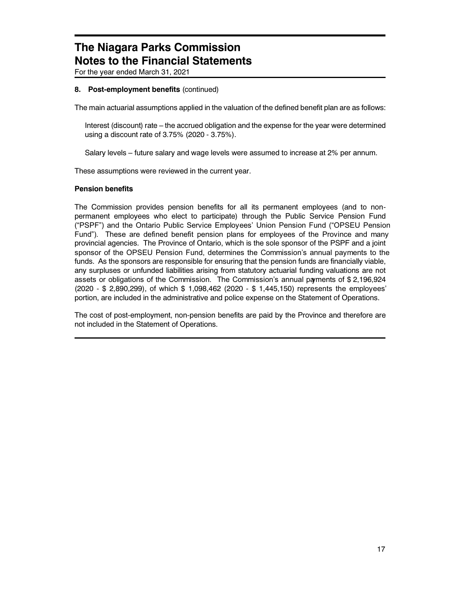**For the year ended March 31, 2021** 

### **8. Post-employment benefits (continued)**

**The main actuarial assumptions applied in the valuation of the defined benefit plan are as follows:** 

**Interest (discount) rate - the accrued obligation and the expense for the year were determined using a discount rate of 3.75% (2020 - 3.75%).** 

**Salary levels - future salary and wage levels were assumed to increase at 2% per annum.** 

**These assumptions were reviewed in the current year.** 

### **Pension benefits**

**The Commission provides pension benefits for all its permanent employees (and to nonpermanent employees who elect to participate) through the Public Service Pension Fund ("PSPF") and the Ontario Public Service Employees' Union Pension Fund ("OPSEU Pension Fund"). These are defined benefit pension plans for employees of the Province and many provincial agencies. The Province of Ontario, which is the sole sponsor of the PSPF and a joint sponsor of the OPSEU Pension Fund, determines the Commission's annual payments to the funds. As the sponsors are responsible for ensuring that the pension funds are financially viable, any surpluses or unfunded liabilities arising from statutory actuarial funding valuations are not assets or obligations of the Commission. The Commission's annual payments of \$ 2,196,924 (2020 - \$ 2,890,299), of which \$ 1,098,462 (2020 - \$ 1,445,150) represents the employees' portion, are included in the administrative and police expense on the Statement of Operations.** 

**The cost of post-employment, non-pension benefits are paid by the Province and therefore are not included in the Statement of Operations.**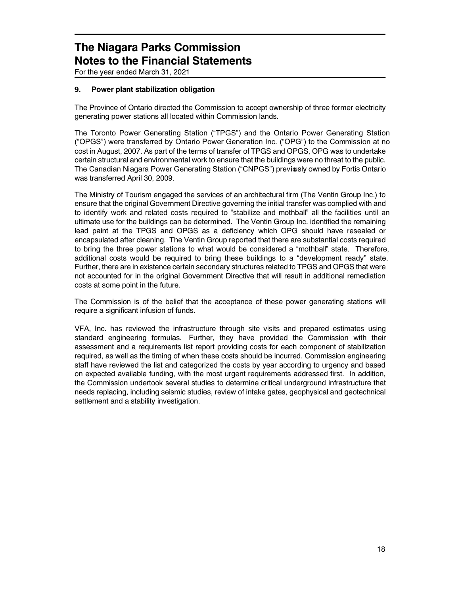**For the year ended March 31, 2021** 

### **9. Power plant stabilization obligation**

**The Province of Ontario directed the Commission to accept ownership of three former electricity generating power stations all located within Commission lands.** 

**The Toronto Power Generating Station ("TPGS") and the Ontario Power Generating Station ("OPGS") were transferred by Ontario Power Generation Inc. ("OPG") to the Commission at no cost in August, 2007. As part of the terms of transfer of TPGS and OPGS, OPG was to undertake certain structural and environmental work to ensure that the buildings were no threat to the public. The Canadian Niagara Power Generating Station ("CNPGS") previously owned by Fortis Ontario was transferred April 30, 2009.** 

**The Ministry of Tourism engaged the services of an architectural firm (The Ventin Group Inc.) to ensure that the original Government Directive governing the initial transfer was complied with and to identify work and related costs required to "stabilize and mothball" all the facilities until an ultimate use for the buildings can be determined. The Ventin Group Inc. identified the remaining lead paint at the TPGS and OPGS as a deficiency which OPG should have resealed or encapsulated after cleaning. The Ventin Group reported that there are substantial costs required to bring the three power stations to what would be considered a "mothball" state. Therefore ,** additional costs would be required to bring these buildings to a "development ready" state. **Further, there are in existence certain secondary structures related to TPGS and OPGS that were not accounted for in the original Government Directive that will result in additional remediation costs at some point in the future.** 

**The Commission is of the belief that the acceptance of these power generating stations will require a significant infusion of funds.** 

VFA, Inc. has reviewed the infrastructure through site visits and prepared estimates using **standard engineering formulas. Further, they have provided the Commission with their assessment and a requirements list report providing costs for each component of stabilization required, as well as the timing of when these costs should be incurred. Commission engineering staff have reviewed the list and categorized the costs by year according to urgency and based on expected available funding, with the most urgent requirements addressed first. In addition, the Commission undertook several studies to determine critical underground infrastructure that needs replacing, including seismic studies, review of intake gates, geophysical and geotechnical settlement and a stability investigation.**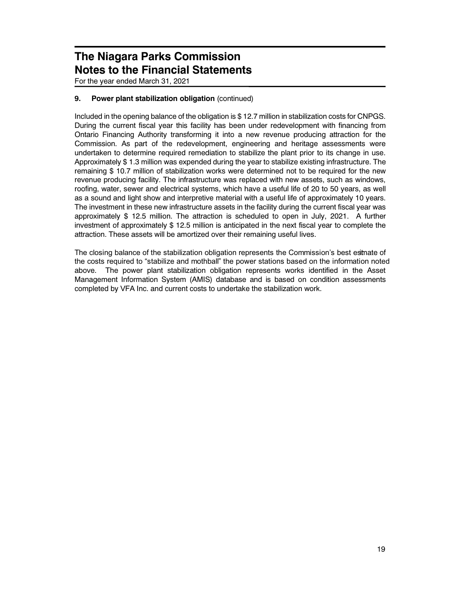**For the year ended March 31, 2021** 

### **9. Power plant stabilization obligation (continued)**

 **as a sound and light show and interpretive material with a useful life of approximately 10 years. attraction. These assets will be amortized over their remaining useful lives. Included in the opening balance of the obligation is \$ 12.7 million in stabilization costs for CNPGS. During the current fiscal year this facility has been under redevelopment with financing from Ontario Financing Authority transforming it into a new revenue producing attraction for the Commission. As part of the redevelopment, engineering and heritage assessments were undertaken to determine required remediation to stabilize the plant prior to its change in use. Approximately \$ 1.3 million was expended during the year to stabilize existing infrastructure. The remaining \$ 10.7 million of stabilization works were determined not to be required for the new revenue producing facility. The infrastructure was replaced with new assets, such as windows, roofing, water, sewer and electrical systems, which have a useful life of 20 to 50 years, as well The investment in these new infrastructure assets in the facility during the current fiscal year was approximately \$ 12.5 million. The attraction is scheduled to open in July, 2021. A further investment of approximately \$ 12.5 million is anticipated in the next fiscal year to complete the**

**The closing balance of the stabilization obligation represents the Commission's best estimate of the costs required to "stabilize and mothball" the power stations based on the information noted above. The power plant stabilization obligation represents works identified in the Asset Management Information System (AMIS) database and is based on condition assessments completed by VFA Inc. and current costs to undertake the stabilization work.**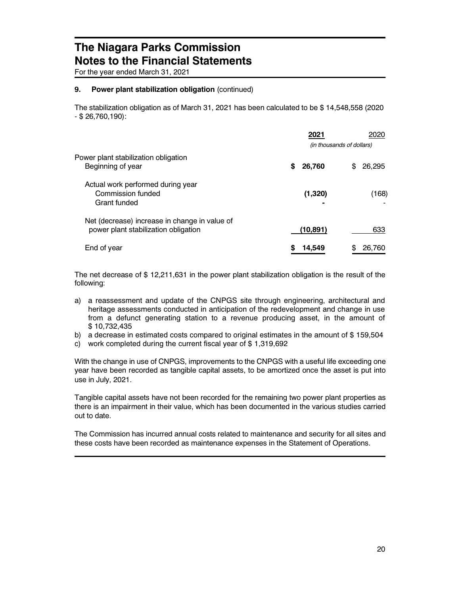**For the year ended March 31, 2021** 

### **9. Power plant stabilization obligation (continued)**

**The stabilization obligation as of March 31, 2021 has been calculated to be \$ 14,548,558 (2020 - \$ 26,760,190):** 

|                                                                                       | (in thousands of dollars) |             |  |
|---------------------------------------------------------------------------------------|---------------------------|-------------|--|
| Power plant stabilization obligation<br>Beginning of year                             | 26,760<br>\$              | 26,295<br>S |  |
| Actual work performed during year<br>Commission funded<br>Grant funded                | (1, 320)                  | (168)       |  |
| Net (decrease) increase in change in value of<br>power plant stabilization obligation | (10,891)                  | 633         |  |
| End of year                                                                           | 14,549                    | 26.760      |  |

 **The net decrease of \$ 12,211,631 in the power plant stabilization obligation is the result of the following:** 

- **a) a reassessment and update of the CNPGS site through engineering, architectural and heritage assessments conducted in anticipation of the redevelopment and change in use from a defunct generating station to a revenue producing asset, in the amount of \$ 10,732,435**
- **b) a decrease in estimated costs compared to original estimates in the amount of \$ 159,504**
- **c) work completed during the current fiscal year of \$ 1,319,692**

 **With the change in use of CNPGS, improvements to the CNPGS with a useful life exceeding one year have been recorded as tangible capital assets, to be amortized once the asset is put into use in July, 2021.** 

**Tangible capital assets have not been recorded for the remaining two power plant properties as there is an impairment in their value, which has been documented in the various studies carried out to date.** 

 **these costs have been recorded as maintenance expenses in the Statement of Operations. The Commission has incurred annual costs related to maintenance and security for all sites and**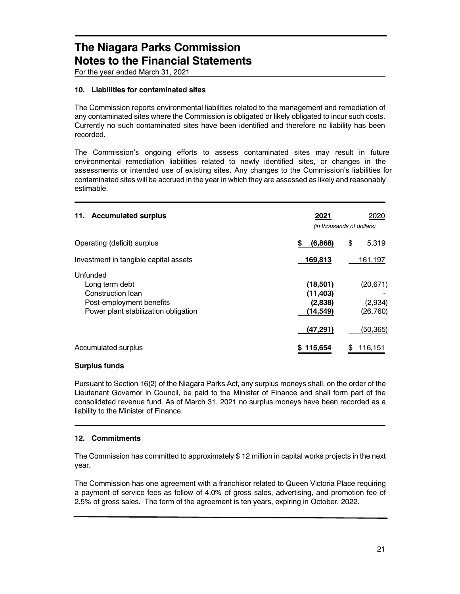**For the year ended March 31, 2021** 

### **10. Liabilities for contaminated sites**

**The Commission reports environmental liabilities related to the management and remediation of**  any contaminated sites where the Commission is obligated or likely obligated to incur such costs. **C urrently no such contaminated sites have been identified and therefore no liability has been r ecorded.** 

**The Commission's ongoing efforts to assess contaminated sites may result in future environmental remediation liabilities related to newly identified sites, or changes in the assessments or intended use of existing sites. Any changes to the Commission's liabilities for contaminated sites will be accrued in the year in which they are assessed as likely and reasonably estimable.** 

| 11. Accumulated surplus                                                                                             | 2021                                           | 2020<br>(in thousands of dollars) |
|---------------------------------------------------------------------------------------------------------------------|------------------------------------------------|-----------------------------------|
| Operating (deficit) surplus                                                                                         | (6,868)<br>S                                   | 5,319<br>S                        |
| Investment in tangible capital assets                                                                               | 169,813                                        | 161,197                           |
| Unfunded<br>Long term debt<br>Construction Ioan<br>Post-employment benefits<br>Power plant stabilization obligation | (18, 501)<br>(11, 403)<br>(2,838)<br>(14, 549) | (20, 671)<br>(2,934)<br>(26, 760) |
|                                                                                                                     | (47, 291)                                      | (50, 365)                         |
| Accumulated surplus                                                                                                 | \$115,654                                      | 116,151                           |

### **Surplus funds**

**Pursuant to Section 16(2) of the Niagara Parks Act, any surplus moneys shall, on the order of the L ieutenant Governor in Council, be paid to the Minister of Finance and shall form part of the**  consolidated revenue fund. As of March 31, 2021 no surplus moneys have been recorded as a **l iability to the Minister of Finance.** 

### **12. Commitments**

**The Commission has committed to approximately \$ 12 million in capital works projects in the next year.** 

The Commission has one agreement with a franchisor related to Queen Victoria Place requiring **a payment of service fees as follow of 4. 0% of gross sales, a dvertising, and promotion fee of**  2.5% of gross sales. The term of the agreement is ten years, expiring in October, 2022.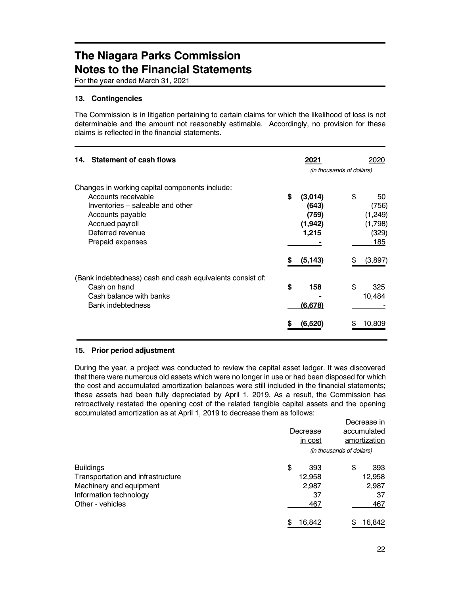**For the year ended March 31, 2021** 

### **13. Contingencies**

The Commission is in litigation pertaining to certain claims for which the likelihood of loss is not **d eterminable and the amount not reasonably estimable. Accordingly, no provision for these**  claims is reflected in the financial statements.

| <b>Statement of cash flows</b><br>14.                                                                                                                                                    |         | 2021<br>(in thousands of dollars)                          | 2020                                                                     |
|------------------------------------------------------------------------------------------------------------------------------------------------------------------------------------------|---------|------------------------------------------------------------|--------------------------------------------------------------------------|
| Changes in working capital components include:<br>Accounts receivable<br>Inventories - saleable and other<br>Accounts payable<br>Accrued payroll<br>Deferred revenue<br>Prepaid expenses | \$<br>S | (3,014)<br>(643)<br>(759)<br>(1, 942)<br>1,215<br>(5, 143) | \$<br>50<br>(756)<br>(1, 249)<br>(1,798)<br>(329)<br>185<br>(3,897)<br>S |
| (Bank indebtedness) cash and cash equivalents consist of:<br>Cash on hand<br>Cash balance with banks<br><b>Bank indebtedness</b>                                                         | \$      | 158<br>(6,678)<br>(6,520)                                  | \$<br>325<br>10,484<br>10.809                                            |

### **15. Prior period adjustment**

**During the year, a project was conducted to review the capital asset ledger. It was discovered**  that there were numerous old assets which were no longer in use or had been disposed for which **t he cost and accumulated amortization balances were still included in the financial statements;**  these assets had been fully depreciated by April 1, 2019. As a result, the Commission has retroactively restated the opening cost of the related tangible capital assets and the opening

| accumulated amortization as at April 1, 2019 to decrease them as follows: |                     |                           |                                            |
|---------------------------------------------------------------------------|---------------------|---------------------------|--------------------------------------------|
|                                                                           | Decrease<br>in cost |                           | Decrease in<br>accumulated<br>amortization |
|                                                                           |                     | (in thousands of dollars) |                                            |
| <b>Buildings</b>                                                          | \$<br>393           | \$                        | 393                                        |
| Transportation and infrastructure                                         | 12,958              |                           | 12,958                                     |
| Machinery and equipment                                                   | 2,987               |                           | 2,987                                      |
| Information technology                                                    | 37                  |                           | 37                                         |
| Other - vehicles                                                          | 467                 |                           | 467                                        |
|                                                                           | \$<br>16,842        | S                         | 16,842                                     |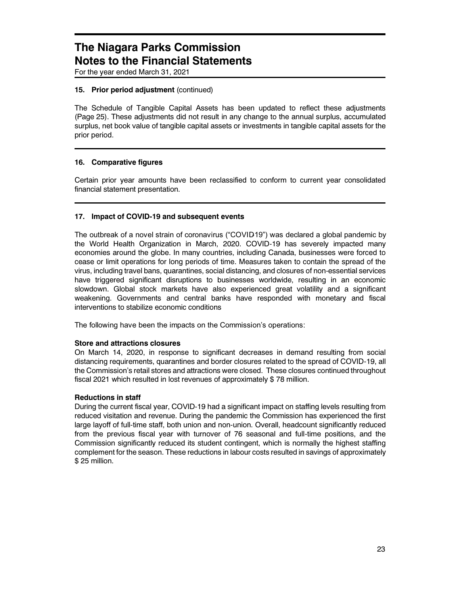**For the year ended March 31, 2021** 

### **15. Prior period adjustment (continued)**

**The Schedule of Tangible Capital Assets has been updated to reflect these adjustments (Page 25). These adjustments did not result in any change to the annual surplus, accumulated surplus, net book value of tangible capital assets or investments in tangible capital assets for the prior period.** 

### **16. Comparative figures**

**Certain prior year amounts have been reclassified to conform to current year consolidated financial statement presentation.** 

### **17. Impact of COVID-19 and subsequent events**

**The outbreak of a novel strain of coronavirus ("COVID-19") was declared a global pandemic by the World Health Organization in March, 2020. COVID-19 has severely impacted many economies around the globe. In many countries, including Canada, businesses were forced to cease or limit operations for long periods of time. Measures taken to contain the spread of the virus, including travel bans, quarantines, social distancing, and closures of non-essential services have triggered significant disruptions to businesses worldwide, resulting in an economic slowdown. Global stock markets have also experienced great volatility and a significant weakening. Governments and central banks have responded with monetary and fiscal interventions to stabilize economic conditions** 

**The following have been the impacts on the Commission's operations:**

### **Store and attractions closures**

**On March 14, 2020, in response to significant decreases in demand resulting from social distancing requirements, quarantines and border closures related to the spread of COVID-19, all the Commission's retail stores and attractions were closed. These closures continued throughout fiscal 2021 which resulted in lost revenues of approximately \$ 78 million.** 

### **Reductions in staff**

 **During the current fiscal year, COVID-19 had a significant impact on staffing levels resulting from reduced visitation and revenue. During the pandemic the Commission has experienced the first large layoff of full-time staff, both union and non-union. Overall, headcount significantly reduced from the previous fiscal year with turnover of 76 seasonal and full-time positions, and the Commission significantly reduced its student contingent, which is normally the highest staffing complement for the season. These reductions in labour costs resulted in savings of approximately \$ 25 million.**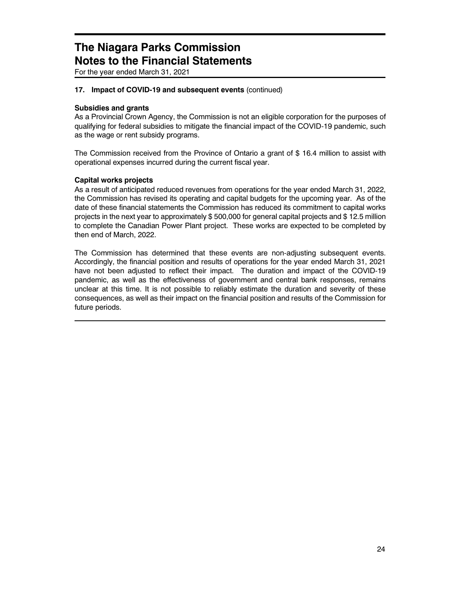**For the year ended March 31, 2021** 

### **17. Impact of COVID-19 and subsequent events (continued)**

### **Subsidies and grants**

 **as the wage or rent subsidy programs. As a Provincial Crown Agency, the Commission is not an eligible corporation for the purposes of qualifying for federal subsidies to mitigate the financial impact of the COVID-19 pandemic, such**

 **operational expenses incurred during the current fiscal year. The Commission received from the Province of Ontario a grant of \$ 16.4 million to assist with**

### **Capital works projects**

 **to complete the Canadian Power Plant project. These works are expected to be completed by As a result of anticipated reduced revenues from operations for the year ended March 31, 2022, the Commission has revised its operating and capital budgets for the upcoming year. As of the date of these financial statements the Commission has reduced its commitment to capital works projects in the next year to approximately \$ 500,000 for general capital projects and \$ 12.5 million then end of March, 2022.** 

 **The Commission has determined that these events are non-adjusting subsequent events. have not been adjusted to reflect their impact. The duration and impact of the COVID-19 Accordingly, the financial position and results of operations for the year ended March 31, 2021 pandemic, as well as the effectiveness of government and central bank responses, remains unclear at this time. It is not possible to reliably estimate the duration and severity of these consequences, as well as their impact on the financial position and results of the Commission for future periods.**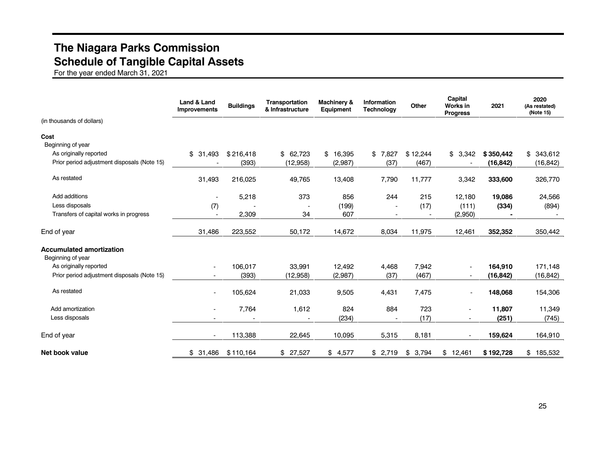### <span id="page-26-0"></span>**The Niagara Parks Commission Schedule of Tangible Capital Assets**

**For the year ended March 31, 2021** 

|                                                      | <b>Land &amp; Land</b><br><b>Improvements</b> | <b>Buildings</b> | Transportation<br>& Infrastructure | Machinery &<br>Equipment | <b>Information</b><br><b>Technology</b> | Other       | Capital<br>Works in<br><b>Progress</b> | 2021      | 2020<br>(As restated)<br>(Note 15) |
|------------------------------------------------------|-----------------------------------------------|------------------|------------------------------------|--------------------------|-----------------------------------------|-------------|----------------------------------------|-----------|------------------------------------|
| (in thousands of dollars)                            |                                               |                  |                                    |                          |                                         |             |                                        |           |                                    |
| Cost                                                 |                                               |                  |                                    |                          |                                         |             |                                        |           |                                    |
| Beginning of year                                    |                                               |                  |                                    |                          |                                         |             |                                        |           |                                    |
| As originally reported                               | \$31,493                                      | \$216,418        | \$62,723                           | \$16,395                 | \$<br>7,827                             | \$12,244    | \$3,342                                | \$350,442 | \$343,612                          |
| Prior period adjustment disposals (Note 15)          |                                               | (393)            | (12,958)                           | (2,987)                  | (37)                                    | (467)       |                                        | (16, 842) | (16, 842)                          |
| As restated                                          | 31,493                                        | 216,025          | 49,765                             | 13,408                   | 7,790                                   | 11,777      | 3,342                                  | 333,600   | 326,770                            |
| Add additions                                        |                                               | 5,218            | 373                                | 856                      | 244                                     | 215         | 12,180                                 | 19,086    | 24,566                             |
| Less disposals                                       | (7)                                           |                  |                                    | (199)                    |                                         | (17)        | (111)                                  | (334)     | (894)                              |
| Transfers of capital works in progress               |                                               | 2,309            | 34                                 | 607                      |                                         |             | (2,950)                                |           |                                    |
| End of year                                          | 31,486                                        | 223,552          | 50,172                             | 14,672                   | 8,034                                   | 11,975      | 12,461                                 | 352,352   | 350,442                            |
| <b>Accumulated amortization</b><br>Beginning of year |                                               |                  |                                    |                          |                                         |             |                                        |           |                                    |
| As originally reported                               |                                               | 106,017          | 33,991                             | 12,492                   | 4,468                                   | 7,942       |                                        | 164,910   | 171,148                            |
| Prior period adjustment disposals (Note 15)          |                                               | (393)            | (12,958)                           | (2,987)                  | (37)                                    | (467)       | $\overline{\phantom{a}}$               | (16, 842) | (16, 842)                          |
| As restated                                          |                                               | 105,624          | 21,033                             | 9,505                    | 4,431                                   | 7,475       |                                        | 148,068   | 154,306                            |
| Add amortization                                     |                                               | 7,764            | 1,612                              | 824                      | 884                                     | 723         |                                        | 11,807    | 11,349                             |
| Less disposals                                       |                                               |                  |                                    | (234)                    |                                         | (17)        |                                        | (251)     | (745)                              |
| End of year                                          |                                               | 113,388          | 22,645                             | 10,095                   | 5,315                                   | 8,181       |                                        | 159,624   | 164,910                            |
| Net book value                                       | \$31,486                                      | \$110,164        | \$27,527                           | \$4,577                  | \$2,719                                 | 3,794<br>\$ | \$12,461                               | \$192,728 | \$<br>185,532                      |